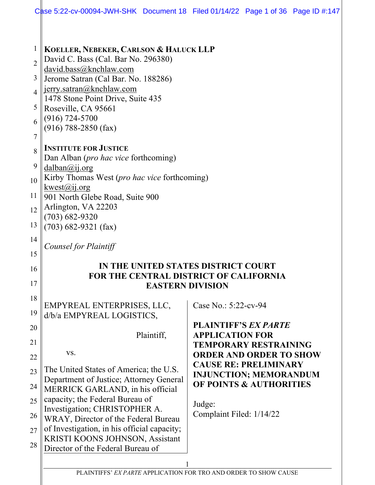|                                                                                            | Case 5:22-cv-00094-JWH-SHK Document 18 Filed 01/14/22 Page 1 of 36 Page ID #:147                                                                                                                                                                                                                                                                                                                                                                                                                 |                                                                                                                         |  |  |
|--------------------------------------------------------------------------------------------|--------------------------------------------------------------------------------------------------------------------------------------------------------------------------------------------------------------------------------------------------------------------------------------------------------------------------------------------------------------------------------------------------------------------------------------------------------------------------------------------------|-------------------------------------------------------------------------------------------------------------------------|--|--|
| $\mathbf{1}$<br>$\overline{2}$<br>3<br>$\overline{4}$<br>5<br>6<br>7<br>8<br>9<br>10<br>11 | KOELLER, NEBEKER, CARLSON & HALUCK LLP<br>David C. Bass (Cal. Bar No. 296380)<br>david.bass@knchlaw.com<br>Jerome Satran (Cal Bar. No. 188286)<br>jerry.satran@knchlaw.com<br>1478 Stone Point Drive, Suite 435<br>Roseville, CA 95661<br>(916) 724-5700<br>$(916)$ 788-2850 (fax)<br><b>INSTITUTE FOR JUSTICE</b><br>Dan Alban ( <i>pro hac vice</i> forthcoming)<br>dalban@ij.org<br>Kirby Thomas West ( <i>pro hac vice</i> forthcoming)<br>kwest(a)ij.org<br>901 North Glebe Road, Suite 900 |                                                                                                                         |  |  |
| 12<br>13                                                                                   | Arlington, VA 22203<br>(703) 682-9320<br>$(703)$ 682-9321 (fax)                                                                                                                                                                                                                                                                                                                                                                                                                                  |                                                                                                                         |  |  |
| 14<br>15                                                                                   | Counsel for Plaintiff                                                                                                                                                                                                                                                                                                                                                                                                                                                                            |                                                                                                                         |  |  |
| 16                                                                                         | IN THE UNITED STATES DISTRICT COURT<br><b>FOR THE CENTRAL DISTRICT OF CALIFORNIA</b>                                                                                                                                                                                                                                                                                                                                                                                                             |                                                                                                                         |  |  |
| 17                                                                                         | <b>EASTERN DIVISION</b>                                                                                                                                                                                                                                                                                                                                                                                                                                                                          |                                                                                                                         |  |  |
| 18<br>19                                                                                   | EMPYREAL ENTERPRISES, LLC,<br>d/b/a EMPYREAL LOGISTICS,                                                                                                                                                                                                                                                                                                                                                                                                                                          | Case No.: 5:22-cv-94                                                                                                    |  |  |
| 20<br>21<br>22                                                                             | Plaintiff,<br>VS.                                                                                                                                                                                                                                                                                                                                                                                                                                                                                | <b>PLAINTIFF'S EX PARTE</b><br><b>APPLICATION FOR</b><br><b>TEMPORARY RESTRAINING</b><br><b>ORDER AND ORDER TO SHOW</b> |  |  |
| 23<br>24                                                                                   | The United States of America; the U.S.<br>Department of Justice; Attorney General<br>MERRICK GARLAND, in his official                                                                                                                                                                                                                                                                                                                                                                            | <b>CAUSE RE: PRELIMINARY</b><br><b>INJUNCTION; MEMORANDUM</b><br><b>OF POINTS &amp; AUTHORITIES</b>                     |  |  |
| 25<br>26                                                                                   | capacity; the Federal Bureau of<br>Investigation; CHRISTOPHER A.<br>WRAY, Director of the Federal Bureau                                                                                                                                                                                                                                                                                                                                                                                         | Judge:<br>Complaint Filed: 1/14/22                                                                                      |  |  |
| 27<br>28                                                                                   | of Investigation, in his official capacity;<br>KRISTI KOONS JOHNSON, Assistant<br>Director of the Federal Bureau of                                                                                                                                                                                                                                                                                                                                                                              |                                                                                                                         |  |  |
|                                                                                            | PLAINTIFFS' EX PARTE APPLICATION FOR TRO AND ORDER TO SHOW CAUSE                                                                                                                                                                                                                                                                                                                                                                                                                                 |                                                                                                                         |  |  |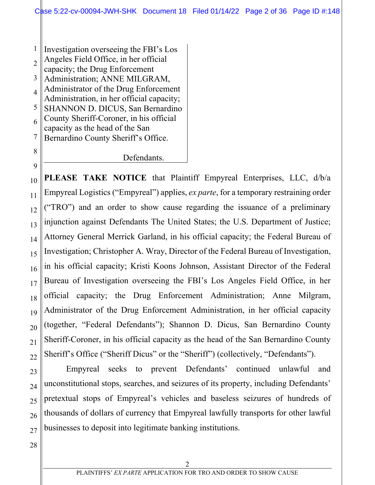1 2 3 4 5 6 7 8 Investigation overseeing the FBI's Los Angeles Field Office, in her official capacity; the Drug Enforcement Administration; ANNE MILGRAM, Administrator of the Drug Enforcement Administration, in her official capacity; SHANNON D. DICUS, San Bernardino County Sheriff-Coroner, in his official capacity as the head of the San Bernardino County Sheriff's Office.

Defendants.

10 11 12 13 14 15 16 17 18 19 20 21 22 **PLEASE TAKE NOTICE** that Plaintiff Empyreal Enterprises, LLC, d/b/a Empyreal Logistics ("Empyreal") applies, *ex parte*, for a temporary restraining order ("TRO") and an order to show cause regarding the issuance of a preliminary injunction against Defendants The United States; the U.S. Department of Justice; Attorney General Merrick Garland, in his official capacity; the Federal Bureau of Investigation; Christopher A. Wray, Director of the Federal Bureau of Investigation, in his official capacity; Kristi Koons Johnson, Assistant Director of the Federal Bureau of Investigation overseeing the FBI's Los Angeles Field Office, in her official capacity; the Drug Enforcement Administration; Anne Milgram, Administrator of the Drug Enforcement Administration, in her official capacity (together, "Federal Defendants"); Shannon D. Dicus, San Bernardino County Sheriff-Coroner, in his official capacity as the head of the San Bernardino County Sheriff's Office ("Sheriff Dicus" or the "Sheriff") (collectively, "Defendants").

23 24 25 26 27 Empyreal seeks to prevent Defendants' continued unlawful and unconstitutional stops, searches, and seizures of its property, including Defendants' pretextual stops of Empyreal's vehicles and baseless seizures of hundreds of thousands of dollars of currency that Empyreal lawfully transports for other lawful businesses to deposit into legitimate banking institutions.

28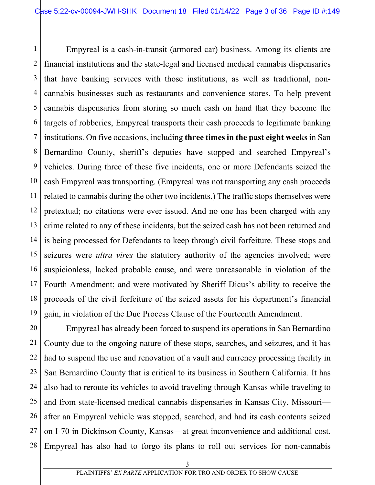1 2 3 4 5 6 7 8 9 10 11 12 13 14 15 16 17 18 19 Empyreal is a cash-in-transit (armored car) business. Among its clients are financial institutions and the state-legal and licensed medical cannabis dispensaries that have banking services with those institutions, as well as traditional, noncannabis businesses such as restaurants and convenience stores. To help prevent cannabis dispensaries from storing so much cash on hand that they become the targets of robberies, Empyreal transports their cash proceeds to legitimate banking institutions. On five occasions, including **three times in the past eight weeks** in San Bernardino County, sheriff's deputies have stopped and searched Empyreal's vehicles. During three of these five incidents, one or more Defendants seized the cash Empyreal was transporting. (Empyreal was not transporting any cash proceeds related to cannabis during the other two incidents.) The traffic stops themselves were pretextual; no citations were ever issued. And no one has been charged with any crime related to any of these incidents, but the seized cash has not been returned and is being processed for Defendants to keep through civil forfeiture. These stops and seizures were *ultra vires* the statutory authority of the agencies involved; were suspicionless, lacked probable cause, and were unreasonable in violation of the Fourth Amendment; and were motivated by Sheriff Dicus's ability to receive the proceeds of the civil forfeiture of the seized assets for his department's financial gain, in violation of the Due Process Clause of the Fourteenth Amendment.

20 21 22 23 24 25 26 27 28 Empyreal has already been forced to suspend its operations in San Bernardino County due to the ongoing nature of these stops, searches, and seizures, and it has had to suspend the use and renovation of a vault and currency processing facility in San Bernardino County that is critical to its business in Southern California. It has also had to reroute its vehicles to avoid traveling through Kansas while traveling to and from state-licensed medical cannabis dispensaries in Kansas City, Missouri after an Empyreal vehicle was stopped, searched, and had its cash contents seized on I-70 in Dickinson County, Kansas—at great inconvenience and additional cost. Empyreal has also had to forgo its plans to roll out services for non-cannabis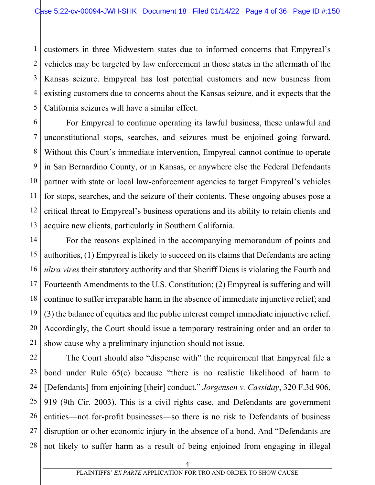1 2 3 4 5 customers in three Midwestern states due to informed concerns that Empyreal's vehicles may be targeted by law enforcement in those states in the aftermath of the Kansas seizure. Empyreal has lost potential customers and new business from existing customers due to concerns about the Kansas seizure, and it expects that the California seizures will have a similar effect.

6 7 8 9 10 11 12 13 For Empyreal to continue operating its lawful business, these unlawful and unconstitutional stops, searches, and seizures must be enjoined going forward. Without this Court's immediate intervention, Empyreal cannot continue to operate in San Bernardino County, or in Kansas, or anywhere else the Federal Defendants partner with state or local law-enforcement agencies to target Empyreal's vehicles for stops, searches, and the seizure of their contents. These ongoing abuses pose a critical threat to Empyreal's business operations and its ability to retain clients and acquire new clients, particularly in Southern California.

14 15 16 17 18 19 20 21 For the reasons explained in the accompanying memorandum of points and authorities, (1) Empyreal is likely to succeed on its claims that Defendants are acting *ultra vires* their statutory authority and that Sheriff Dicus is violating the Fourth and Fourteenth Amendments to the U.S. Constitution; (2) Empyreal is suffering and will continue to suffer irreparable harm in the absence of immediate injunctive relief; and (3) the balance of equities and the public interest compel immediate injunctive relief. Accordingly, the Court should issue a temporary restraining order and an order to show cause why a preliminary injunction should not issue.

22 23 24 25 26 27 28 The Court should also "dispense with" the requirement that Empyreal file a bond under Rule 65(c) because "there is no realistic likelihood of harm to [Defendants] from enjoining [their] conduct." *Jorgensen v. Cassiday*, 320 F.3d 906, 919 (9th Cir. 2003). This is a civil rights case, and Defendants are government entities—not for-profit businesses—so there is no risk to Defendants of business disruption or other economic injury in the absence of a bond. And "Defendants are not likely to suffer harm as a result of being enjoined from engaging in illegal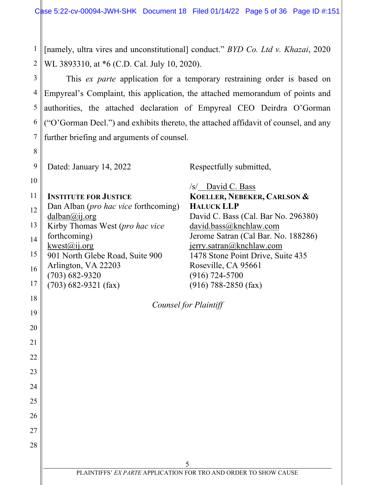1 2 [namely, ultra vires and unconstitutional] conduct." *BYD Co. Ltd v. Khazai*, 2020 WL 3893310, at \*6 (C.D. Cal. July 10, 2020).

3 4 5 6 7 This *ex parte* application for a temporary restraining order is based on Empyreal's Complaint, this application, the attached memorandum of points and authorities, the attached declaration of Empyreal CEO Deirdra O'Gorman ("O'Gorman Decl.") and exhibits thereto, the attached affidavit of counsel, and any further briefing and arguments of counsel.

9 Dated: January 14, 2022

10

20

21

22

23

24

25

26

27

28

8

11 12 13 14 15 16 17 18 19 **INSTITUTE FOR JUSTICE** Dan Alban (*pro hac vice* forthcoming) dalban@ij.org Kirby Thomas West (*pro hac vice* forthcoming)  $kwest@ii.org$ 901 North Glebe Road, Suite 900 Arlington, VA 22203 (703) 682-9320 (703) 682-9321 (fax)

Respectfully submitted,

/s/ David C. Bass **KOELLER, NEBEKER, CARLSON & HALUCK LLP**  David C. Bass (Cal. Bar No. 296380) david.bass@knchlaw.com Jerome Satran (Cal Bar. No. 188286) jerry.satran@knchlaw.com 1478 Stone Point Drive, Suite 435 Roseville, CA 95661 (916) 724-5700 (916) 788-2850 (fax)

*Counsel for Plaintiff*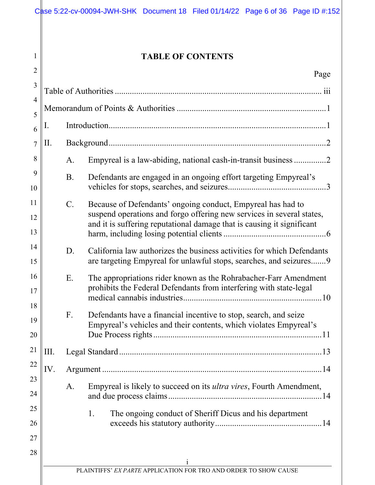| $\overline{2}$ |                 | <b>TABLE OF CONTENTS</b>                                                                                                                                                                                       |
|----------------|-----------------|----------------------------------------------------------------------------------------------------------------------------------------------------------------------------------------------------------------|
|                |                 | Page                                                                                                                                                                                                           |
| $\overline{4}$ |                 |                                                                                                                                                                                                                |
|                |                 |                                                                                                                                                                                                                |
| Ī.<br>6        |                 |                                                                                                                                                                                                                |
| П.             |                 |                                                                                                                                                                                                                |
|                | A.              | Empyreal is a law-abiding, national cash-in-transit business 2                                                                                                                                                 |
| 10             | B.              | Defendants are engaged in an ongoing effort targeting Empyreal's                                                                                                                                               |
| 12             | $\mathcal{C}$ . | Because of Defendants' ongoing conduct, Empyreal has had to<br>suspend operations and forgo offering new services in several states,<br>and it is suffering reputational damage that is causing it significant |
|                |                 |                                                                                                                                                                                                                |
| 14<br>15       | D.              | California law authorizes the business activities for which Defendants<br>are targeting Empyreal for unlawful stops, searches, and seizures 9                                                                  |
| 16             | Ε.              | The appropriations rider known as the Rohrabacher-Farr Amendment<br>prohibits the Federal Defendants from interfering with state-legal                                                                         |
| 18<br>19<br>20 | F.              | Defendants have a financial incentive to stop, search, and seize<br>Empyreal's vehicles and their contents, which violates Empyreal's                                                                          |
| III.           |                 |                                                                                                                                                                                                                |
| IV.            |                 |                                                                                                                                                                                                                |
| 24             | A.              | Empyreal is likely to succeed on its <i>ultra vires</i> , Fourth Amendment,                                                                                                                                    |
| 25<br>26       |                 | 1.<br>The ongoing conduct of Sheriff Dicus and his department                                                                                                                                                  |
| 28             |                 |                                                                                                                                                                                                                |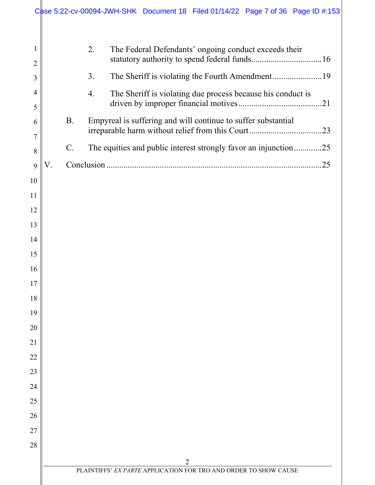|                     | Case 5:22-cv-00094-JWH-SHK Document 18 Filed 01/14/22 Page 7 of 36 Page ID #:153 |  |  |
|---------------------|----------------------------------------------------------------------------------|--|--|
|                     |                                                                                  |  |  |
| 1<br>$\overline{2}$ | 2.<br>The Federal Defendants' ongoing conduct exceeds their                      |  |  |
| 3                   | 3.                                                                               |  |  |
| 4                   | 4.<br>The Sheriff is violating due process because his conduct is                |  |  |
| 5                   |                                                                                  |  |  |
| 6                   | <b>B.</b><br>Empyreal is suffering and will continue to suffer substantial       |  |  |
| $\overline{7}$<br>8 | $C$ .<br>The equities and public interest strongly favor an injunction25         |  |  |
| 9                   | V.                                                                               |  |  |
| 10                  |                                                                                  |  |  |
| 11                  |                                                                                  |  |  |
| 12                  |                                                                                  |  |  |
| 13                  |                                                                                  |  |  |
| 14                  |                                                                                  |  |  |
| 15                  |                                                                                  |  |  |
| 16                  |                                                                                  |  |  |
| 17                  |                                                                                  |  |  |
| 18                  |                                                                                  |  |  |
| 19<br>20            |                                                                                  |  |  |
| 21                  |                                                                                  |  |  |
| 22                  |                                                                                  |  |  |
| 23                  |                                                                                  |  |  |
| 24                  |                                                                                  |  |  |
| 25                  |                                                                                  |  |  |
| 26                  |                                                                                  |  |  |
| 27                  |                                                                                  |  |  |
| 28                  |                                                                                  |  |  |
|                     | $\overline{2}$                                                                   |  |  |
|                     | PLAINTIFFS' EX PARTE APPLICATION FOR TRO AND ORDER TO SHOW CAUSE                 |  |  |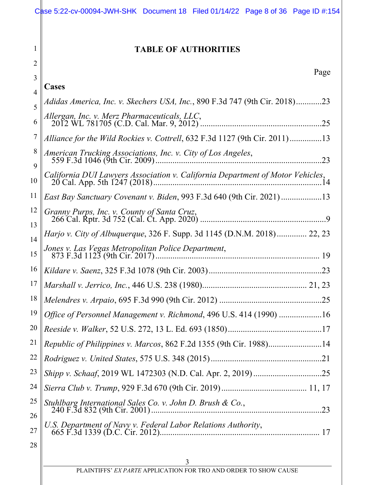|          | Case 5:22-cv-00094-JWH-SHK Document 18 Filed 01/14/22 Page 8 of 36 Page ID #:154 |
|----------|----------------------------------------------------------------------------------|
| 1<br>2   | <b>TABLE OF AUTHORITIES</b>                                                      |
| 3        | Page<br>Cases                                                                    |
| 4        | Adidas America, Inc. v. Skechers USA, Inc., 890 F.3d 747 (9th Cir. 2018)23       |
| 5<br>6   | Allergan, Inc. v. Merz Pharmaceuticals, LLC,<br>.25                              |
| 7        | Alliance for the Wild Rockies v. Cottrell, 632 F.3d 1127 (9th Cir. 2011)13       |
| 8<br>9   | American Trucking Associations, Inc. v. City of Los Angeles,<br>.23              |
| 10       | California DUI Lawyers Association v. California Department of Motor Vehicles,   |
| 11       | East Bay Sanctuary Covenant v. Biden, 993 F.3d 640 (9th Cir. 2021)13             |
| 12<br>13 | Granny Purps, Inc. v. County of Santa Cruz,                                      |
| 14       | Harjo v. City of Albuquerque, 326 F. Supp. 3d 1145 (D.N.M. 2018) 22, 23          |
| 15       | Jones v. Las Vegas Metropolitan Police Department,                               |
| 16       |                                                                                  |
| 17       |                                                                                  |
| 18       |                                                                                  |
| 19       | Office of Personnel Management v. Richmond, 496 U.S. 414 (1990) 16               |
| 20       |                                                                                  |
| 21       | Republic of Philippines v. Marcos, 862 F.2d 1355 (9th Cir. 1988)14               |
| 22       |                                                                                  |
| 23       |                                                                                  |
| 24       |                                                                                  |
| 25<br>26 | Stuhlbarg International Sales Co. v. John D. Brush & Co.,<br>.23                 |
| 27<br>28 | U.S. Department of Navy v. Federal Labor Relations Authority,<br>17              |
|          | 3                                                                                |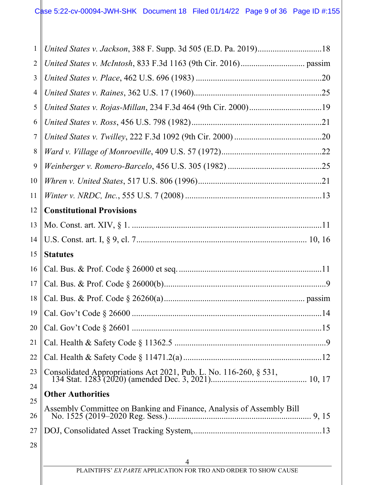| $\mathbf{1}$   | United States v. Jackson, 388 F. Supp. 3d 505 (E.D. Pa. 2019)18      |  |  |
|----------------|----------------------------------------------------------------------|--|--|
| $\overline{2}$ |                                                                      |  |  |
| 3              |                                                                      |  |  |
| $\overline{4}$ |                                                                      |  |  |
| 5              |                                                                      |  |  |
| 6              |                                                                      |  |  |
| $\tau$         |                                                                      |  |  |
| $8\,$          |                                                                      |  |  |
| 9              |                                                                      |  |  |
| 10             |                                                                      |  |  |
| 11             |                                                                      |  |  |
| 12             | <b>Constitutional Provisions</b>                                     |  |  |
| 13             |                                                                      |  |  |
| 14             |                                                                      |  |  |
| 15             | <b>Statutes</b>                                                      |  |  |
| 16             |                                                                      |  |  |
| 17             |                                                                      |  |  |
| 18             |                                                                      |  |  |
|                |                                                                      |  |  |
| 20             |                                                                      |  |  |
| 21             |                                                                      |  |  |
| 22             |                                                                      |  |  |
| 23             | Consolidated Appropriations Act 2021, Pub. L. No. 116-260, § 531,    |  |  |
| 24             | <b>Other Authorities</b>                                             |  |  |
| 25<br>26       | Assembly Committee on Banking and Finance, Analysis of Assembly Bill |  |  |
| 27             |                                                                      |  |  |
| 28             |                                                                      |  |  |
|                | 4                                                                    |  |  |
|                |                                                                      |  |  |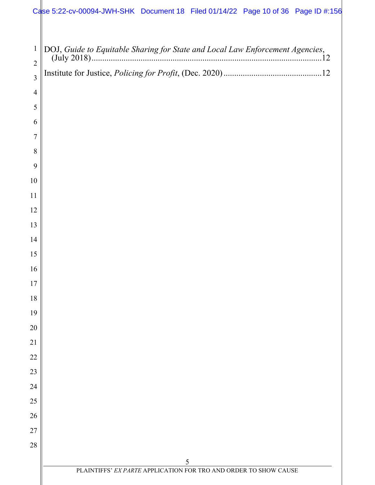## Case 5:22-cv-00094-JWH-SHK Document 18 Filed 01/14/22 Page 10 of 36 Page ID #:156

| $\mathbf{1}$<br>$\overline{2}$ | .12                                                              |
|--------------------------------|------------------------------------------------------------------|
| $\overline{3}$                 |                                                                  |
| $\overline{4}$                 |                                                                  |
| 5                              |                                                                  |
| 6                              |                                                                  |
| $\overline{7}$                 |                                                                  |
| 8                              |                                                                  |
| 9                              |                                                                  |
| 10                             |                                                                  |
| 11                             |                                                                  |
| 12                             |                                                                  |
| 13                             |                                                                  |
| 14                             |                                                                  |
| 15                             |                                                                  |
| 16                             |                                                                  |
| 17                             |                                                                  |
| 18                             |                                                                  |
| 19                             |                                                                  |
| 20                             |                                                                  |
| 21                             |                                                                  |
| 22                             |                                                                  |
| 23                             |                                                                  |
| 24                             |                                                                  |
| 25                             |                                                                  |
| 26                             |                                                                  |
| 27                             |                                                                  |
| 28                             |                                                                  |
|                                | 5                                                                |
|                                | PLAINTIFFS' EX PARTE APPLICATION FOR TRO AND ORDER TO SHOW CAUSE |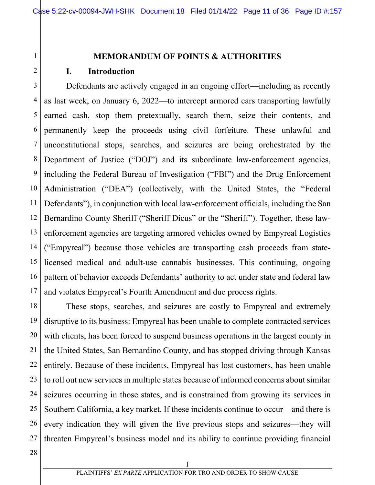# 2

1

### **MEMORANDUM OF POINTS & AUTHORITIES**

#### **I. Introduction**

3 4 5 6 7 8 9 10 11 12 13 14 15 16 17 Defendants are actively engaged in an ongoing effort—including as recently as last week, on January 6, 2022—to intercept armored cars transporting lawfully earned cash, stop them pretextually, search them, seize their contents, and permanently keep the proceeds using civil forfeiture. These unlawful and unconstitutional stops, searches, and seizures are being orchestrated by the Department of Justice ("DOJ") and its subordinate law-enforcement agencies, including the Federal Bureau of Investigation ("FBI") and the Drug Enforcement Administration ("DEA") (collectively, with the United States, the "Federal Defendants"), in conjunction with local law-enforcement officials, including the San Bernardino County Sheriff ("Sheriff Dicus" or the "Sheriff"). Together, these lawenforcement agencies are targeting armored vehicles owned by Empyreal Logistics ("Empyreal") because those vehicles are transporting cash proceeds from statelicensed medical and adult-use cannabis businesses. This continuing, ongoing pattern of behavior exceeds Defendants' authority to act under state and federal law and violates Empyreal's Fourth Amendment and due process rights.

18 19 20 21 22 23 24 25 26 27 These stops, searches, and seizures are costly to Empyreal and extremely disruptive to its business: Empyreal has been unable to complete contracted services with clients, has been forced to suspend business operations in the largest county in the United States, San Bernardino County, and has stopped driving through Kansas entirely. Because of these incidents, Empyreal has lost customers, has been unable to roll out new services in multiple states because of informed concerns about similar seizures occurring in those states, and is constrained from growing its services in Southern California, a key market. If these incidents continue to occur—and there is every indication they will given the five previous stops and seizures—they will threaten Empyreal's business model and its ability to continue providing financial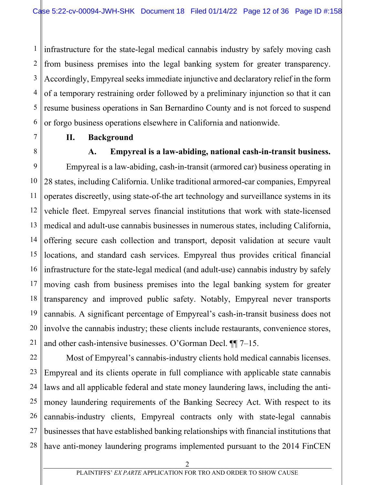1 2 3 4 5 6 infrastructure for the state-legal medical cannabis industry by safely moving cash from business premises into the legal banking system for greater transparency. Accordingly, Empyreal seeks immediate injunctive and declaratory relief in the form of a temporary restraining order followed by a preliminary injunction so that it can resume business operations in San Bernardino County and is not forced to suspend or forgo business operations elsewhere in California and nationwide.

- **II. Background**
- 

7

8

#### **A. Empyreal is a law-abiding, national cash-in-transit business.**

9 10 11 12 13 14 15 16 17 18 19 20 21 Empyreal is a law-abiding, cash-in-transit (armored car) business operating in 28 states, including California. Unlike traditional armored-car companies, Empyreal operates discreetly, using state-of-the art technology and surveillance systems in its vehicle fleet. Empyreal serves financial institutions that work with state-licensed medical and adult-use cannabis businesses in numerous states, including California, offering secure cash collection and transport, deposit validation at secure vault locations, and standard cash services. Empyreal thus provides critical financial infrastructure for the state-legal medical (and adult-use) cannabis industry by safely moving cash from business premises into the legal banking system for greater transparency and improved public safety. Notably, Empyreal never transports cannabis. A significant percentage of Empyreal's cash-in-transit business does not involve the cannabis industry; these clients include restaurants, convenience stores, and other cash-intensive businesses. O'Gorman Decl. ¶¶ 7–15.

22 23 24 25 26 27 28 Most of Empyreal's cannabis-industry clients hold medical cannabis licenses. Empyreal and its clients operate in full compliance with applicable state cannabis laws and all applicable federal and state money laundering laws, including the antimoney laundering requirements of the Banking Secrecy Act. With respect to its cannabis-industry clients, Empyreal contracts only with state-legal cannabis businesses that have established banking relationships with financial institutions that have anti-money laundering programs implemented pursuant to the 2014 FinCEN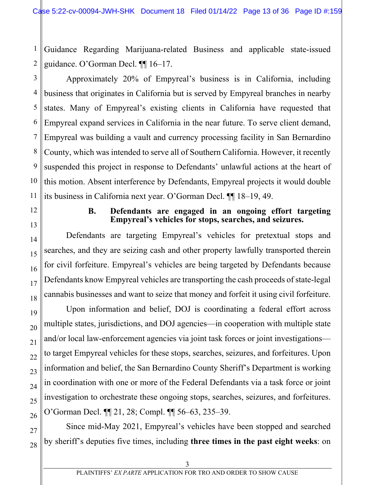1 2 Guidance Regarding Marijuana-related Business and applicable state-issued guidance. O'Gorman Decl. ¶¶ 16–17.

3 4 5 6 7 8 9 10 11 Approximately 20% of Empyreal's business is in California, including business that originates in California but is served by Empyreal branches in nearby states. Many of Empyreal's existing clients in California have requested that Empyreal expand services in California in the near future. To serve client demand, Empyreal was building a vault and currency processing facility in San Bernardino County, which was intended to serve all of Southern California. However, it recently suspended this project in response to Defendants' unlawful actions at the heart of this motion. Absent interference by Defendants, Empyreal projects it would double its business in California next year. O'Gorman Decl. ¶¶ 18–19, 49.

12

13

14

15

16

17

18

19

20

#### **B. Defendants are engaged in an ongoing effort targeting Empyreal's vehicles for stops, searches, and seizures.**

Defendants are targeting Empyreal's vehicles for pretextual stops and searches, and they are seizing cash and other property lawfully transported therein for civil forfeiture. Empyreal's vehicles are being targeted by Defendants because Defendants know Empyreal vehicles are transporting the cash proceeds of state-legal cannabis businesses and want to seize that money and forfeit it using civil forfeiture.

Upon information and belief, DOJ is coordinating a federal effort across multiple states, jurisdictions, and DOJ agencies—in cooperation with multiple state and/or local law-enforcement agencies via joint task forces or joint investigations to target Empyreal vehicles for these stops, searches, seizures, and forfeitures. Upon information and belief, the San Bernardino County Sheriff's Department is working in coordination with one or more of the Federal Defendants via a task force or joint investigation to orchestrate these ongoing stops, searches, seizures, and forfeitures. O'Gorman Decl. ¶¶ 21, 28; Compl. ¶¶ 56–63, 235–39.

Since mid-May 2021, Empyreal's vehicles have been stopped and searched by sheriff's deputies five times, including **three times in the past eight weeks**: on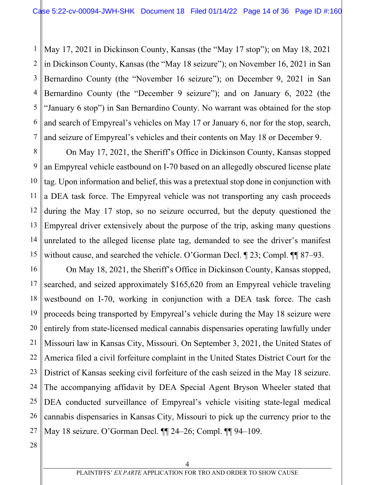1 2 3 4 5 6 7 May 17, 2021 in Dickinson County, Kansas (the "May 17 stop"); on May 18, 2021 in Dickinson County, Kansas (the "May 18 seizure"); on November 16, 2021 in San Bernardino County (the "November 16 seizure"); on December 9, 2021 in San Bernardino County (the "December 9 seizure"); and on January 6, 2022 (the "January 6 stop") in San Bernardino County. No warrant was obtained for the stop and search of Empyreal's vehicles on May 17 or January 6, nor for the stop, search, and seizure of Empyreal's vehicles and their contents on May 18 or December 9.

8 9 10 11 12 13 14 15 On May 17, 2021, the Sheriff's Office in Dickinson County, Kansas stopped an Empyreal vehicle eastbound on I-70 based on an allegedly obscured license plate tag. Upon information and belief, this was a pretextual stop done in conjunction with a DEA task force. The Empyreal vehicle was not transporting any cash proceeds during the May 17 stop, so no seizure occurred, but the deputy questioned the Empyreal driver extensively about the purpose of the trip, asking many questions unrelated to the alleged license plate tag, demanded to see the driver's manifest without cause, and searched the vehicle. O'Gorman Decl. ¶ 23; Compl. ¶¶ 87–93.

16 17 18 19 20 21 22 23 24 25 26 27 On May 18, 2021, the Sheriff's Office in Dickinson County, Kansas stopped, searched, and seized approximately \$165,620 from an Empyreal vehicle traveling westbound on I-70, working in conjunction with a DEA task force. The cash proceeds being transported by Empyreal's vehicle during the May 18 seizure were entirely from state-licensed medical cannabis dispensaries operating lawfully under Missouri law in Kansas City, Missouri. On September 3, 2021, the United States of America filed a civil forfeiture complaint in the United States District Court for the District of Kansas seeking civil forfeiture of the cash seized in the May 18 seizure. The accompanying affidavit by DEA Special Agent Bryson Wheeler stated that DEA conducted surveillance of Empyreal's vehicle visiting state-legal medical cannabis dispensaries in Kansas City, Missouri to pick up the currency prior to the May 18 seizure. O'Gorman Decl. ¶¶ 24–26; Compl. ¶¶ 94–109.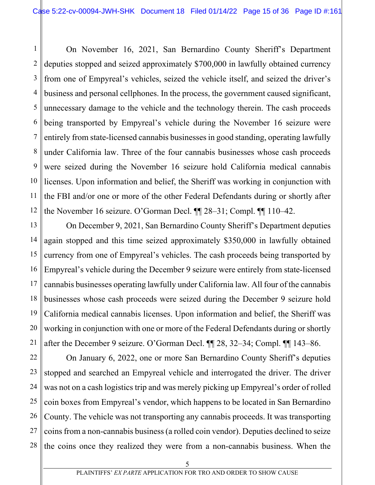1 2 3 4 5 6 7 8 9 10 11 12 On November 16, 2021, San Bernardino County Sheriff's Department deputies stopped and seized approximately \$700,000 in lawfully obtained currency from one of Empyreal's vehicles, seized the vehicle itself, and seized the driver's business and personal cellphones. In the process, the government caused significant, unnecessary damage to the vehicle and the technology therein. The cash proceeds being transported by Empyreal's vehicle during the November 16 seizure were entirely from state-licensed cannabis businesses in good standing, operating lawfully under California law. Three of the four cannabis businesses whose cash proceeds were seized during the November 16 seizure hold California medical cannabis licenses. Upon information and belief, the Sheriff was working in conjunction with the FBI and/or one or more of the other Federal Defendants during or shortly after the November 16 seizure. O'Gorman Decl. ¶¶ 28–31; Compl. ¶¶ 110–42.

13 14 15 16 17 18 19 20 21 On December 9, 2021, San Bernardino County Sheriff's Department deputies again stopped and this time seized approximately \$350,000 in lawfully obtained currency from one of Empyreal's vehicles. The cash proceeds being transported by Empyreal's vehicle during the December 9 seizure were entirely from state-licensed cannabis businesses operating lawfully under California law. All four of the cannabis businesses whose cash proceeds were seized during the December 9 seizure hold California medical cannabis licenses. Upon information and belief, the Sheriff was working in conjunction with one or more of the Federal Defendants during or shortly after the December 9 seizure. O'Gorman Decl. ¶¶ 28, 32–34; Compl. ¶¶ 143–86.

22 23 24 25 26 27 28 On January 6, 2022, one or more San Bernardino County Sheriff's deputies stopped and searched an Empyreal vehicle and interrogated the driver. The driver was not on a cash logistics trip and was merely picking up Empyreal's order of rolled coin boxes from Empyreal's vendor, which happens to be located in San Bernardino County. The vehicle was not transporting any cannabis proceeds. It was transporting coins from a non-cannabis business (a rolled coin vendor). Deputies declined to seize the coins once they realized they were from a non-cannabis business. When the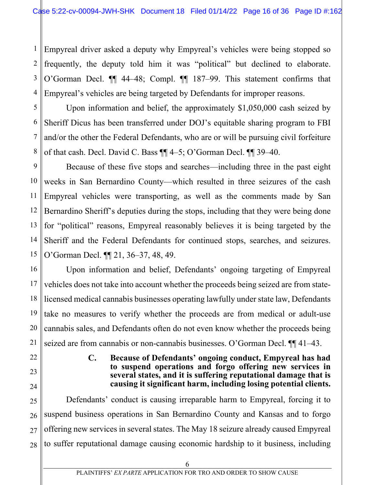1 2 3 4 Empyreal driver asked a deputy why Empyreal's vehicles were being stopped so frequently, the deputy told him it was "political" but declined to elaborate. O'Gorman Decl. ¶¶ 44–48; Compl. ¶¶ 187–99. This statement confirms that Empyreal's vehicles are being targeted by Defendants for improper reasons.

5 6 7 8 Upon information and belief, the approximately \$1,050,000 cash seized by Sheriff Dicus has been transferred under DOJ's equitable sharing program to FBI and/or the other the Federal Defendants, who are or will be pursuing civil forfeiture of that cash. Decl. David C. Bass ¶¶ 4–5; O'Gorman Decl. ¶¶ 39–40.

9 10 11 12 13 14 15 Because of these five stops and searches—including three in the past eight weeks in San Bernardino County—which resulted in three seizures of the cash Empyreal vehicles were transporting, as well as the comments made by San Bernardino Sheriff's deputies during the stops, including that they were being done for "political" reasons, Empyreal reasonably believes it is being targeted by the Sheriff and the Federal Defendants for continued stops, searches, and seizures. O'Gorman Decl. ¶¶ 21, 36–37, 48, 49.

16 17 18 19 20 21 Upon information and belief, Defendants' ongoing targeting of Empyreal vehicles does not take into account whether the proceeds being seized are from statelicensed medical cannabis businesses operating lawfully under state law, Defendants take no measures to verify whether the proceeds are from medical or adult-use cannabis sales, and Defendants often do not even know whether the proceeds being seized are from cannabis or non-cannabis businesses. O'Gorman Decl. ¶¶ 41–43.

- 22
- 23

24

#### **C. Because of Defendants' ongoing conduct, Empyreal has had to suspend operations and forgo offering new services in several states, and it is suffering reputational damage that is causing it significant harm, including losing potential clients.**

25 26 27 28 Defendants' conduct is causing irreparable harm to Empyreal, forcing it to suspend business operations in San Bernardino County and Kansas and to forgo offering new services in several states. The May 18 seizure already caused Empyreal to suffer reputational damage causing economic hardship to it business, including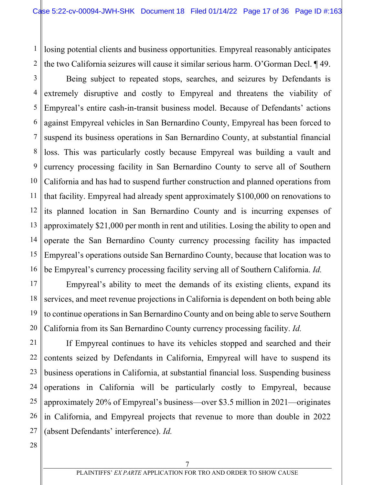1 2 losing potential clients and business opportunities. Empyreal reasonably anticipates the two California seizures will cause it similar serious harm. O'Gorman Decl. ¶ 49.

3 4 5 6 7 8 9 10 11 12 13 14 15 16 Being subject to repeated stops, searches, and seizures by Defendants is extremely disruptive and costly to Empyreal and threatens the viability of Empyreal's entire cash-in-transit business model. Because of Defendants' actions against Empyreal vehicles in San Bernardino County, Empyreal has been forced to suspend its business operations in San Bernardino County, at substantial financial loss. This was particularly costly because Empyreal was building a vault and currency processing facility in San Bernardino County to serve all of Southern California and has had to suspend further construction and planned operations from that facility. Empyreal had already spent approximately \$100,000 on renovations to its planned location in San Bernardino County and is incurring expenses of approximately \$21,000 per month in rent and utilities. Losing the ability to open and operate the San Bernardino County currency processing facility has impacted Empyreal's operations outside San Bernardino County, because that location was to be Empyreal's currency processing facility serving all of Southern California. *Id.*

17 18 19 20 Empyreal's ability to meet the demands of its existing clients, expand its services, and meet revenue projections in California is dependent on both being able to continue operations in San Bernardino County and on being able to serve Southern California from its San Bernardino County currency processing facility. *Id.*

21 22 23 24 25 26 27 If Empyreal continues to have its vehicles stopped and searched and their contents seized by Defendants in California, Empyreal will have to suspend its business operations in California, at substantial financial loss. Suspending business operations in California will be particularly costly to Empyreal, because approximately 20% of Empyreal's business—over \$3.5 million in 2021—originates in California, and Empyreal projects that revenue to more than double in 2022 (absent Defendants' interference). *Id.*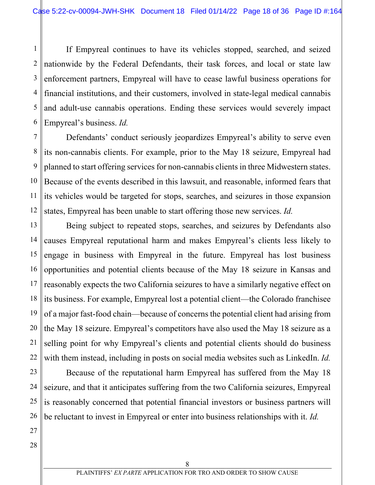1 2 3 4 5 6 If Empyreal continues to have its vehicles stopped, searched, and seized nationwide by the Federal Defendants, their task forces, and local or state law enforcement partners, Empyreal will have to cease lawful business operations for financial institutions, and their customers, involved in state-legal medical cannabis and adult-use cannabis operations. Ending these services would severely impact Empyreal's business. *Id.*

7 8 9 10 11 12 Defendants' conduct seriously jeopardizes Empyreal's ability to serve even its non-cannabis clients. For example, prior to the May 18 seizure, Empyreal had planned to start offering services for non-cannabis clients in three Midwestern states. Because of the events described in this lawsuit, and reasonable, informed fears that its vehicles would be targeted for stops, searches, and seizures in those expansion states, Empyreal has been unable to start offering those new services. *Id.*

13 14 15 16 17 18 19 20 21 22 Being subject to repeated stops, searches, and seizures by Defendants also causes Empyreal reputational harm and makes Empyreal's clients less likely to engage in business with Empyreal in the future. Empyreal has lost business opportunities and potential clients because of the May 18 seizure in Kansas and reasonably expects the two California seizures to have a similarly negative effect on its business. For example, Empyreal lost a potential client—the Colorado franchisee of a major fast-food chain—because of concerns the potential client had arising from the May 18 seizure. Empyreal's competitors have also used the May 18 seizure as a selling point for why Empyreal's clients and potential clients should do business with them instead, including in posts on social media websites such as LinkedIn. *Id.*

Because of the reputational harm Empyreal has suffered from the May 18 seizure, and that it anticipates suffering from the two California seizures, Empyreal is reasonably concerned that potential financial investors or business partners will be reluctant to invest in Empyreal or enter into business relationships with it. *Id.* 

27 28

23

24

25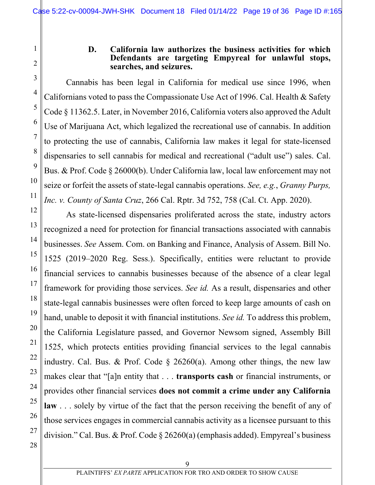#### **D. California law authorizes the business activities for which Defendants are targeting Empyreal for unlawful stops, searches, and seizures.**

Cannabis has been legal in California for medical use since 1996, when Californians voted to pass the Compassionate Use Act of 1996. Cal. Health & Safety Code § 11362.5. Later, in November 2016, California voters also approved the Adult Use of Marijuana Act, which legalized the recreational use of cannabis. In addition to protecting the use of cannabis, California law makes it legal for state-licensed dispensaries to sell cannabis for medical and recreational ("adult use") sales. Cal. Bus. & Prof. Code § 26000(b). Under California law, local law enforcement may not seize or forfeit the assets of state-legal cannabis operations. *See, e.g.*, *Granny Purps, Inc. v. County of Santa Cruz*, 266 Cal. Rptr. 3d 752, 758 (Cal. Ct. App. 2020).

As state-licensed dispensaries proliferated across the state, industry actors recognized a need for protection for financial transactions associated with cannabis businesses. *See* Assem. Com. on Banking and Finance, Analysis of Assem. Bill No. 1525 (2019–2020 Reg. Sess.). Specifically, entities were reluctant to provide financial services to cannabis businesses because of the absence of a clear legal framework for providing those services. *See id.* As a result, dispensaries and other state-legal cannabis businesses were often forced to keep large amounts of cash on hand, unable to deposit it with financial institutions. *See id.* To address this problem, the California Legislature passed, and Governor Newsom signed, Assembly Bill 1525, which protects entities providing financial services to the legal cannabis industry. Cal. Bus. & Prof. Code  $\S$  26260(a). Among other things, the new law makes clear that "[a]n entity that . . . **transports cash** or financial instruments, or provides other financial services **does not commit a crime under any California**  law . . . solely by virtue of the fact that the person receiving the benefit of any of those services engages in commercial cannabis activity as a licensee pursuant to this division." Cal. Bus. & Prof. Code § 26260(a) (emphasis added). Empyreal's business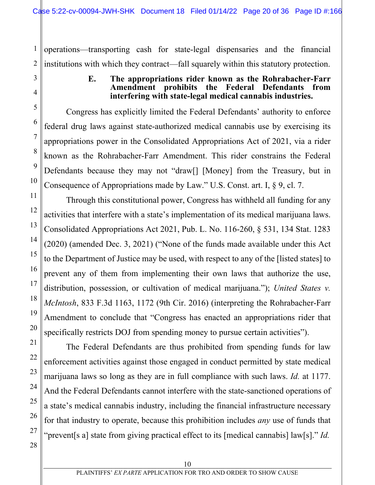1 2 operations—transporting cash for state-legal dispensaries and the financial institutions with which they contract—fall squarely within this statutory protection.

#### **E. The appropriations rider known as the Rohrabacher-Farr Amendment prohibits the Federal Defendants from interfering with state-legal medical cannabis industries.**

Congress has explicitly limited the Federal Defendants' authority to enforce federal drug laws against state-authorized medical cannabis use by exercising its appropriations power in the Consolidated Appropriations Act of 2021, via a rider known as the Rohrabacher-Farr Amendment. This rider constrains the Federal Defendants because they may not "draw[] [Money] from the Treasury, but in Consequence of Appropriations made by Law." U.S. Const. art. I, § 9, cl. 7.

Through this constitutional power, Congress has withheld all funding for any activities that interfere with a state's implementation of its medical marijuana laws. Consolidated Appropriations Act 2021, Pub. L. No. 116-260, § 531, 134 Stat. 1283 (2020) (amended Dec. 3, 2021) ("None of the funds made available under this Act to the Department of Justice may be used, with respect to any of the [listed states] to prevent any of them from implementing their own laws that authorize the use, distribution, possession, or cultivation of medical marijuana."); *United States v. McIntosh*, 833 F.3d 1163, 1172 (9th Cir. 2016) (interpreting the Rohrabacher-Farr Amendment to conclude that "Congress has enacted an appropriations rider that specifically restricts DOJ from spending money to pursue certain activities").

The Federal Defendants are thus prohibited from spending funds for law enforcement activities against those engaged in conduct permitted by state medical marijuana laws so long as they are in full compliance with such laws. *Id.* at 1177. And the Federal Defendants cannot interfere with the state-sanctioned operations of a state's medical cannabis industry, including the financial infrastructure necessary for that industry to operate, because this prohibition includes *any* use of funds that "prevent[s a] state from giving practical effect to its [medical cannabis] law[s]." *Id.*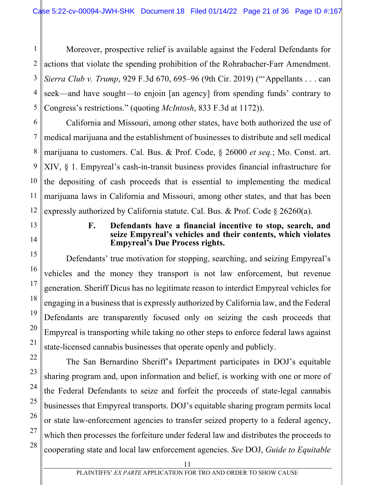1 2 Moreover, prospective relief is available against the Federal Defendants for actions that violate the spending prohibition of the Rohrabacher-Farr Amendment. *Sierra Club v. Trump*, 929 F.3d 670, 695–96 (9th Cir. 2019) ("'Appellants . . . can seek—and have sought—to enjoin [an agency] from spending funds' contrary to Congress's restrictions." (quoting *McIntosh*, 833 F.3d at 1172)).

California and Missouri, among other states, have both authorized the use of medical marijuana and the establishment of businesses to distribute and sell medical marijuana to customers. Cal. Bus. & Prof. Code, § 26000 *et seq.*; Mo. Const. art. XIV, § 1. Empyreal's cash-in-transit business provides financial infrastructure for the depositing of cash proceeds that is essential to implementing the medical marijuana laws in California and Missouri, among other states, and that has been expressly authorized by California statute. Cal. Bus. & Prof. Code § 26260(a).

#### **F. Defendants have a financial incentive to stop, search, and seize Empyreal's vehicles and their contents, which violates Empyreal's Due Process rights.**

Defendants' true motivation for stopping, searching, and seizing Empyreal's vehicles and the money they transport is not law enforcement, but revenue generation. Sheriff Dicus has no legitimate reason to interdict Empyreal vehicles for engaging in a business that is expressly authorized by California law, and the Federal Defendants are transparently focused only on seizing the cash proceeds that Empyreal is transporting while taking no other steps to enforce federal laws against state-licensed cannabis businesses that operate openly and publicly.

The San Bernardino Sheriff's Department participates in DOJ's equitable sharing program and, upon information and belief, is working with one or more of the Federal Defendants to seize and forfeit the proceeds of state-legal cannabis businesses that Empyreal transports. DOJ's equitable sharing program permits local or state law-enforcement agencies to transfer seized property to a federal agency, which then processes the forfeiture under federal law and distributes the proceeds to cooperating state and local law enforcement agencies. *See* DOJ, *Guide to Equitable*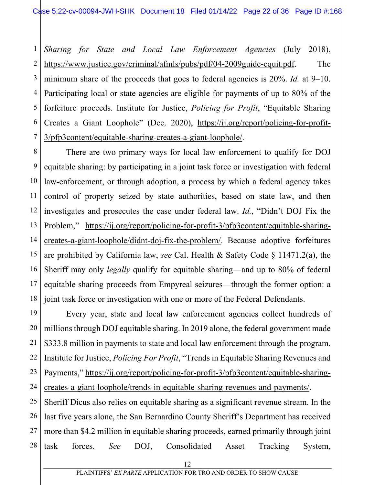1 2 3 4 5 6 7 *Sharing for State and Local Law Enforcement Agencies* (July 2018), https://www.justice.gov/criminal/afmls/pubs/pdf/04-2009guide-equit.pdf. The minimum share of the proceeds that goes to federal agencies is 20%. *Id.* at 9–10. Participating local or state agencies are eligible for payments of up to 80% of the forfeiture proceeds. Institute for Justice, *Policing for Profit*, "Equitable Sharing Creates a Giant Loophole" (Dec. 2020), https://ij.org/report/policing-for-profit-3/pfp3content/equitable-sharing-creates-a-giant-loophole/.

8 9 10 11 12 13 14 15 16 17 18 There are two primary ways for local law enforcement to qualify for DOJ equitable sharing: by participating in a joint task force or investigation with federal law-enforcement, or through adoption, a process by which a federal agency takes control of property seized by state authorities, based on state law, and then investigates and prosecutes the case under federal law. *Id.*, "Didn't DOJ Fix the Problem," https://ij.org/report/policing-for-profit-3/pfp3content/equitable-sharingcreates-a-giant-loophole/didnt-doj-fix-the-problem/. Because adoptive forfeitures are prohibited by California law, *see* Cal. Health & Safety Code § 11471.2(a), the Sheriff may only *legally* qualify for equitable sharing—and up to 80% of federal equitable sharing proceeds from Empyreal seizures—through the former option: a joint task force or investigation with one or more of the Federal Defendants.

19 20 21 22 23 24 Every year, state and local law enforcement agencies collect hundreds of millions through DOJ equitable sharing. In 2019 alone, the federal government made \$333.8 million in payments to state and local law enforcement through the program. Institute for Justice, *Policing For Profit*, "Trends in Equitable Sharing Revenues and Payments," https://ij.org/report/policing-for-profit-3/pfp3content/equitable-sharingcreates-a-giant-loophole/trends-in-equitable-sharing-revenues-and-payments/.

25 26 27 28 Sheriff Dicus also relies on equitable sharing as a significant revenue stream. In the last five years alone, the San Bernardino County Sheriff's Department has received more than \$4.2 million in equitable sharing proceeds, earned primarily through joint task forces. *See* DOJ, Consolidated Asset Tracking System,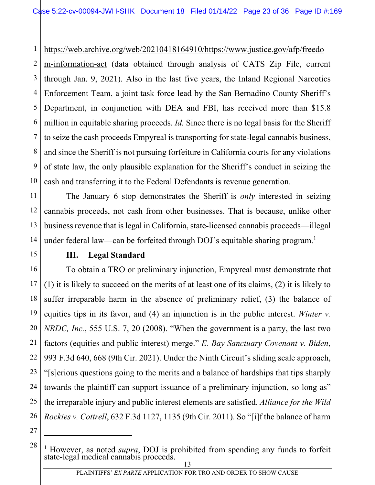1 https://web.archive.org/web/20210418164910/https://www.justice.gov/afp/freedo

2 3 4 5 6 7 8 9 10 m-information-act (data obtained through analysis of CATS Zip File, current through Jan. 9, 2021). Also in the last five years, the Inland Regional Narcotics Enforcement Team, a joint task force lead by the San Bernadino County Sheriff's Department, in conjunction with DEA and FBI, has received more than \$15.8 million in equitable sharing proceeds. *Id.* Since there is no legal basis for the Sheriff to seize the cash proceeds Empyreal is transporting for state-legal cannabis business, and since the Sheriff is not pursuing forfeiture in California courts for any violations of state law, the only plausible explanation for the Sheriff's conduct in seizing the cash and transferring it to the Federal Defendants is revenue generation.

11 12 13 The January 6 stop demonstrates the Sheriff is *only* interested in seizing cannabis proceeds, not cash from other businesses. That is because, unlike other business revenue that is legal in California, state-licensed cannabis proceeds—illegal under federal law—can be forfeited through DOJ's equitable sharing program.<sup>1</sup>

#### **III. Legal Standard**

25 26 To obtain a TRO or preliminary injunction, Empyreal must demonstrate that (1) it is likely to succeed on the merits of at least one of its claims, (2) it is likely to suffer irreparable harm in the absence of preliminary relief, (3) the balance of equities tips in its favor, and (4) an injunction is in the public interest. *Winter v. NRDC, Inc.*, 555 U.S. 7, 20 (2008). "When the government is a party, the last two factors (equities and public interest) merge." *E. Bay Sanctuary Covenant v. Biden*, 993 F.3d 640, 668 (9th Cir. 2021). Under the Ninth Circuit's sliding scale approach, "[s]erious questions going to the merits and a balance of hardships that tips sharply towards the plaintiff can support issuance of a preliminary injunction, so long as" the irreparable injury and public interest elements are satisfied. *Alliance for the Wild Rockies v. Cottrell*, 632 F.3d 1127, 1135 (9th Cir. 2011). So "[i]f the balance of harm

27

<sup>&</sup>lt;sup>1</sup> However, as noted *supra*, DOJ is prohibited from spending any funds to forfeit state-legal medical cannabis proceeds.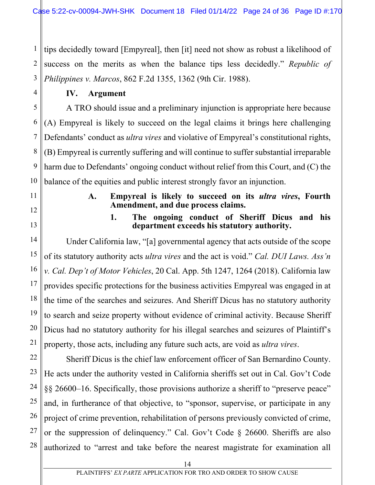1 2 3 tips decidedly toward [Empyreal], then [it] need not show as robust a likelihood of success on the merits as when the balance tips less decidedly." *Republic of Philippines v. Marcos*, 862 F.2d 1355, 1362 (9th Cir. 1988).

#### **IV. Argument**

A TRO should issue and a preliminary injunction is appropriate here because (A) Empyreal is likely to succeed on the legal claims it brings here challenging Defendants' conduct as *ultra vires* and violative of Empyreal's constitutional rights, (B) Empyreal is currently suffering and will continue to suffer substantial irreparable harm due to Defendants' ongoing conduct without relief from this Court, and (C) the balance of the equities and public interest strongly favor an injunction.

11

4

5

6

7

8

9

10

12

13

14

15

16

17

18

19

20

21

**A. Empyreal is likely to succeed on its** *ultra vires***, Fourth Amendment, and due process claims.** 

#### **1. The ongoing conduct of Sheriff Dicus and his department exceeds his statutory authority.**

Under California law, "[a] governmental agency that acts outside of the scope of its statutory authority acts *ultra vires* and the act is void." *Cal. DUI Laws. Ass'n v. Cal. Dep't of Motor Vehicles*, 20 Cal. App. 5th 1247, 1264 (2018). California law provides specific protections for the business activities Empyreal was engaged in at the time of the searches and seizures. And Sheriff Dicus has no statutory authority to search and seize property without evidence of criminal activity. Because Sheriff Dicus had no statutory authority for his illegal searches and seizures of Plaintiff's property, those acts, including any future such acts, are void as *ultra vires*.

22 23 24 25 26 27 28 Sheriff Dicus is the chief law enforcement officer of San Bernardino County. He acts under the authority vested in California sheriffs set out in Cal. Gov't Code §§ 26600–16. Specifically, those provisions authorize a sheriff to "preserve peace" and, in furtherance of that objective, to "sponsor, supervise, or participate in any project of crime prevention, rehabilitation of persons previously convicted of crime, or the suppression of delinquency." Cal. Gov't Code § 26600. Sheriffs are also authorized to "arrest and take before the nearest magistrate for examination all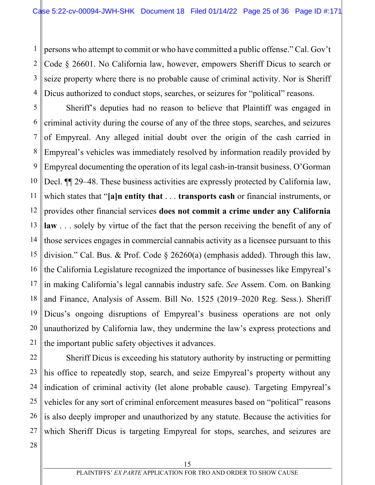1 2 3 4 persons who attempt to commit or who have committed a public offense." Cal. Gov't Code § 26601. No California law, however, empowers Sheriff Dicus to search or seize property where there is no probable cause of criminal activity. Nor is Sheriff Dicus authorized to conduct stops, searches, or seizures for "political" reasons.

5 6 7 8 9 10 11 12 13 14 15 16 17 18 19 20 21 Sheriff's deputies had no reason to believe that Plaintiff was engaged in criminal activity during the course of any of the three stops, searches, and seizures of Empyreal. Any alleged initial doubt over the origin of the cash carried in Empyreal's vehicles was immediately resolved by information readily provided by Empyreal documenting the operation of its legal cash-in-transit business. O'Gorman Decl. ¶¶ 29–48. These business activities are expressly protected by California law, which states that "**[a]n entity that** . . . **transports cash** or financial instruments, or provides other financial services **does not commit a crime under any California law** . . . solely by virtue of the fact that the person receiving the benefit of any of those services engages in commercial cannabis activity as a licensee pursuant to this division." Cal. Bus. & Prof. Code § 26260(a) (emphasis added). Through this law, the California Legislature recognized the importance of businesses like Empyreal's in making California's legal cannabis industry safe. *See* Assem. Com. on Banking and Finance, Analysis of Assem. Bill No. 1525 (2019–2020 Reg. Sess.). Sheriff Dicus's ongoing disruptions of Empyreal's business operations are not only unauthorized by California law, they undermine the law's express protections and the important public safety objectives it advances.

22 23 24 25 26 27 Sheriff Dicus is exceeding his statutory authority by instructing or permitting his office to repeatedly stop, search, and seize Empyreal's property without any indication of criminal activity (let alone probable cause). Targeting Empyreal's vehicles for any sort of criminal enforcement measures based on "political" reasons is also deeply improper and unauthorized by any statute. Because the activities for which Sheriff Dicus is targeting Empyreal for stops, searches, and seizures are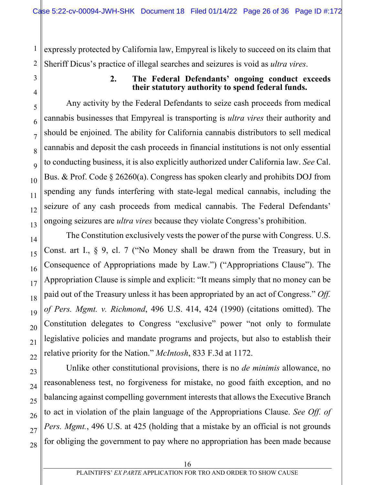1 2 expressly protected by California law, Empyreal is likely to succeed on its claim that Sheriff Dicus's practice of illegal searches and seizures is void as *ultra vires*.

3

4

5

6

7

8

9

10

11

12

13

14

15

16

17

18

19

20

21

22

23

24

25

26

27

28

#### **2. The Federal Defendants' ongoing conduct exceeds their statutory authority to spend federal funds.**

Any activity by the Federal Defendants to seize cash proceeds from medical cannabis businesses that Empyreal is transporting is *ultra vires* their authority and should be enjoined. The ability for California cannabis distributors to sell medical cannabis and deposit the cash proceeds in financial institutions is not only essential to conducting business, it is also explicitly authorized under California law. *See* Cal. Bus. & Prof. Code § 26260(a). Congress has spoken clearly and prohibits DOJ from spending any funds interfering with state-legal medical cannabis, including the seizure of any cash proceeds from medical cannabis. The Federal Defendants' ongoing seizures are *ultra vires* because they violate Congress's prohibition.

The Constitution exclusively vests the power of the purse with Congress. U.S. Const. art I., § 9, cl. 7 ("No Money shall be drawn from the Treasury, but in Consequence of Appropriations made by Law.") ("Appropriations Clause"). The Appropriation Clause is simple and explicit: "It means simply that no money can be paid out of the Treasury unless it has been appropriated by an act of Congress." *Off. of Pers. Mgmt. v. Richmond*, 496 U.S. 414, 424 (1990) (citations omitted). The Constitution delegates to Congress "exclusive" power "not only to formulate legislative policies and mandate programs and projects, but also to establish their relative priority for the Nation." *McIntosh*, 833 F.3d at 1172.

Unlike other constitutional provisions, there is no *de minimis* allowance, no reasonableness test, no forgiveness for mistake, no good faith exception, and no balancing against compelling government interests that allows the Executive Branch to act in violation of the plain language of the Appropriations Clause. *See Off. of Pers. Mgmt.*, 496 U.S. at 425 (holding that a mistake by an official is not grounds for obliging the government to pay where no appropriation has been made because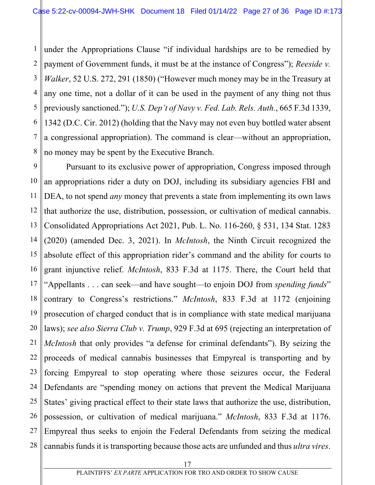1 2 3 4 5 6 7 8 under the Appropriations Clause "if individual hardships are to be remedied by payment of Government funds, it must be at the instance of Congress"); *Reeside v. Walker*, 52 U.S. 272, 291 (1850) ("However much money may be in the Treasury at any one time, not a dollar of it can be used in the payment of any thing not thus previously sanctioned."); *U.S. Dep't of Navy v. Fed. Lab. Rels. Auth.*, 665 F.3d 1339, 1342 (D.C. Cir. 2012) (holding that the Navy may not even buy bottled water absent a congressional appropriation). The command is clear—without an appropriation, no money may be spent by the Executive Branch.

9 10 11 12 13 14 15 16 17 18 19 20 21 22 23 24 25 26 27 28 Pursuant to its exclusive power of appropriation, Congress imposed through an appropriations rider a duty on DOJ, including its subsidiary agencies FBI and DEA, to not spend *any* money that prevents a state from implementing its own laws that authorize the use, distribution, possession, or cultivation of medical cannabis. Consolidated Appropriations Act 2021, Pub. L. No. 116-260, § 531, 134 Stat. 1283 (2020) (amended Dec. 3, 2021). In *McIntosh*, the Ninth Circuit recognized the absolute effect of this appropriation rider's command and the ability for courts to grant injunctive relief. *McIntosh*, 833 F.3d at 1175. There, the Court held that "Appellants . . . can seek—and have sought—to enjoin DOJ from *spending funds*" contrary to Congress's restrictions." *McIntosh*, 833 F.3d at 1172 (enjoining prosecution of charged conduct that is in compliance with state medical marijuana laws); *see also Sierra Club v. Trump*, 929 F.3d at 695 (rejecting an interpretation of *McIntosh* that only provides "a defense for criminal defendants"). By seizing the proceeds of medical cannabis businesses that Empyreal is transporting and by forcing Empyreal to stop operating where those seizures occur, the Federal Defendants are "spending money on actions that prevent the Medical Marijuana States' giving practical effect to their state laws that authorize the use, distribution, possession, or cultivation of medical marijuana." *McIntosh*, 833 F.3d at 1176. Empyreal thus seeks to enjoin the Federal Defendants from seizing the medical cannabis funds it is transporting because those acts are unfunded and thus *ultra vires*.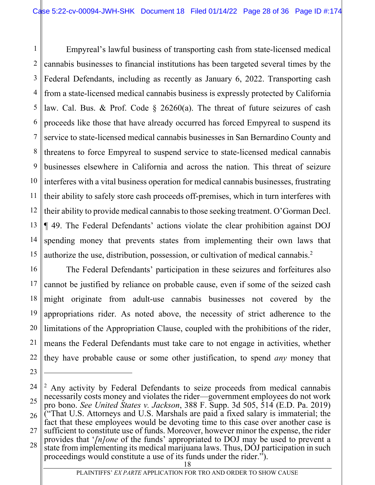1 2 3 4 5 6 7 8 9 10 11 12 13 14 15 Empyreal's lawful business of transporting cash from state-licensed medical cannabis businesses to financial institutions has been targeted several times by the Federal Defendants, including as recently as January 6, 2022. Transporting cash from a state-licensed medical cannabis business is expressly protected by California law. Cal. Bus. & Prof. Code § 26260(a). The threat of future seizures of cash proceeds like those that have already occurred has forced Empyreal to suspend its service to state-licensed medical cannabis businesses in San Bernardino County and threatens to force Empyreal to suspend service to state-licensed medical cannabis businesses elsewhere in California and across the nation. This threat of seizure interferes with a vital business operation for medical cannabis businesses, frustrating their ability to safely store cash proceeds off-premises, which in turn interferes with their ability to provide medical cannabis to those seeking treatment. O'Gorman Decl. ¶ 49. The Federal Defendants' actions violate the clear prohibition against DOJ spending money that prevents states from implementing their own laws that authorize the use, distribution, possession, or cultivation of medical cannabis.<sup>2</sup>

16 17 18 19 20 21 22 The Federal Defendants' participation in these seizures and forfeitures also cannot be justified by reliance on probable cause, even if some of the seized cash might originate from adult-use cannabis businesses not covered by the appropriations rider. As noted above, the necessity of strict adherence to the limitations of the Appropriation Clause, coupled with the prohibitions of the rider, means the Federal Defendants must take care to not engage in activities, whether they have probable cause or some other justification, to spend *any* money that

26

27 sufficient to constitute use of funds. Moreover, however minor the expense, the rider provides that '*[n]one* of the funds' appropriated to DOJ may be used to prevent a

<sup>23</sup>

<sup>24</sup> 25

<sup>&</sup>lt;sup>2</sup> Any activity by Federal Defendants to seize proceeds from medical cannabis necessarily costs money and violates the rider—government employees do not work pro bono. *See United States v. Jackson*, 388 F. Supp. 3d 505, 514 (E.D. Pa. 2019) ("That U.S. Attorneys and U.S. Marshals are paid a fixed salary is immaterial; the fact that these employees would be devoting time to this case over another case is

<sup>28</sup> state from implementing its medical marijuana laws. Thus, DOJ participation in such proceedings would constitute a use of its funds under the rider.").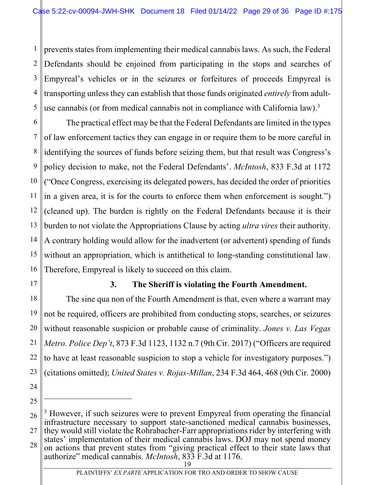1 2 3 4 5 prevents states from implementing their medical cannabis laws. As such, the Federal Defendants should be enjoined from participating in the stops and searches of Empyreal's vehicles or in the seizures or forfeitures of proceeds Empyreal is transporting unless they can establish that those funds originated *entirely* from adultuse cannabis (or from medical cannabis not in compliance with California law).<sup>3</sup>

6 7 8 9 10 11 12 13 14 15 16 The practical effect may be that the Federal Defendants are limited in the types of law enforcement tactics they can engage in or require them to be more careful in identifying the sources of funds before seizing them, but that result was Congress's policy decision to make, not the Federal Defendants'. *McIntosh*, 833 F.3d at 1172 ("Once Congress, exercising its delegated powers, has decided the order of priorities in a given area, it is for the courts to enforce them when enforcement is sought.") (cleaned up). The burden is rightly on the Federal Defendants because it is their burden to not violate the Appropriations Clause by acting *ultra vires* their authority. A contrary holding would allow for the inadvertent (or advertent) spending of funds without an appropriation, which is antithetical to long-standing constitutional law. Therefore, Empyreal is likely to succeed on this claim.

17

#### **3. The Sheriff is violating the Fourth Amendment.**

18 19 20 21 22 23 The sine qua non of the Fourth Amendment is that, even where a warrant may not be required, officers are prohibited from conducting stops, searches, or seizures without reasonable suspicion or probable cause of criminality. *Jones v. Las Vegas Metro. Police Dep't*, 873 F.3d 1123, 1132 n.7 (9th Cir. 2017) ("Officers are required to have at least reasonable suspicion to stop a vehicle for investigatory purposes.") (citations omitted); *United States v. Rojas-Millan*, 234 F.3d 464, 468 (9th Cir. 2000)

<sup>26</sup> 27 28 <sup>3</sup> However, if such seizures were to prevent Empyreal from operating the financial infrastructure necessary to support state-sanctioned medical cannabis businesses, they would still violate the Rohrabacher-Farr appropriations rider by interfering with states' implementation of their medical cannabis laws. DOJ may not spend money on actions that prevent states from "giving practical effect to their state laws that authorize" medical cannabis. *McIntosh*, 833 F.3d at 1176.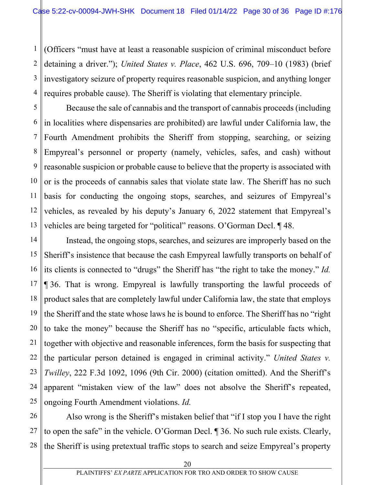1 2 3 4 (Officers "must have at least a reasonable suspicion of criminal misconduct before detaining a driver."); *United States v. Place*, 462 U.S. 696, 709–10 (1983) (brief investigatory seizure of property requires reasonable suspicion, and anything longer requires probable cause). The Sheriff is violating that elementary principle.

5 6 7 8 9 10 11 12 13 Because the sale of cannabis and the transport of cannabis proceeds (including in localities where dispensaries are prohibited) are lawful under California law, the Fourth Amendment prohibits the Sheriff from stopping, searching, or seizing Empyreal's personnel or property (namely, vehicles, safes, and cash) without reasonable suspicion or probable cause to believe that the property is associated with or is the proceeds of cannabis sales that violate state law. The Sheriff has no such basis for conducting the ongoing stops, searches, and seizures of Empyreal's vehicles, as revealed by his deputy's January 6, 2022 statement that Empyreal's vehicles are being targeted for "political" reasons. O'Gorman Decl. ¶ 48.

14 15 16 17 18 19 20 21 22 23 24 25 Instead, the ongoing stops, searches, and seizures are improperly based on the Sheriff's insistence that because the cash Empyreal lawfully transports on behalf of its clients is connected to "drugs" the Sheriff has "the right to take the money." *Id.* ¶ 36. That is wrong. Empyreal is lawfully transporting the lawful proceeds of product sales that are completely lawful under California law, the state that employs the Sheriff and the state whose laws he is bound to enforce. The Sheriff has no "right to take the money" because the Sheriff has no "specific, articulable facts which, together with objective and reasonable inferences, form the basis for suspecting that the particular person detained is engaged in criminal activity." *United States v. Twilley*, 222 F.3d 1092, 1096 (9th Cir. 2000) (citation omitted). And the Sheriff's apparent "mistaken view of the law" does not absolve the Sheriff's repeated, ongoing Fourth Amendment violations. *Id.*

26 27 28 Also wrong is the Sheriff's mistaken belief that "if I stop you I have the right to open the safe" in the vehicle. O'Gorman Decl. ¶ 36. No such rule exists. Clearly, the Sheriff is using pretextual traffic stops to search and seize Empyreal's property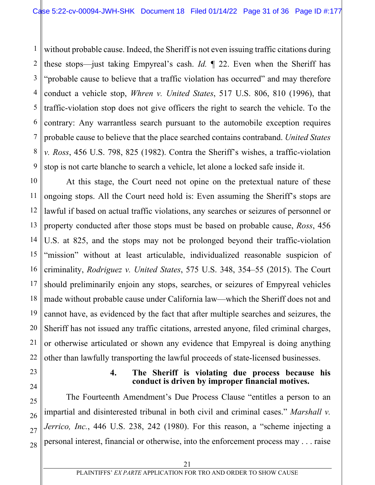1 2 3 4 5 6 7 8 9 without probable cause. Indeed, the Sheriff is not even issuing traffic citations during these stops—just taking Empyreal's cash. *Id.* ¶ 22. Even when the Sheriff has "probable cause to believe that a traffic violation has occurred" and may therefore conduct a vehicle stop, *Whren v. United States*, 517 U.S. 806, 810 (1996), that traffic-violation stop does not give officers the right to search the vehicle. To the contrary: Any warrantless search pursuant to the automobile exception requires probable cause to believe that the place searched contains contraband. *United States v. Ross*, 456 U.S. 798, 825 (1982). Contra the Sheriff's wishes, a traffic-violation stop is not carte blanche to search a vehicle, let alone a locked safe inside it.

10 11 12 13 14 15 16 17 18 19 20 21 22 At this stage, the Court need not opine on the pretextual nature of these ongoing stops. All the Court need hold is: Even assuming the Sheriff's stops are lawful if based on actual traffic violations, any searches or seizures of personnel or property conducted after those stops must be based on probable cause, *Ross*, 456 U.S. at 825, and the stops may not be prolonged beyond their traffic-violation "mission" without at least articulable, individualized reasonable suspicion of criminality, *Rodriguez v. United States*, 575 U.S. 348, 354–55 (2015). The Court should preliminarily enjoin any stops, searches, or seizures of Empyreal vehicles made without probable cause under California law—which the Sheriff does not and cannot have, as evidenced by the fact that after multiple searches and seizures, the Sheriff has not issued any traffic citations, arrested anyone, filed criminal charges, or otherwise articulated or shown any evidence that Empyreal is doing anything other than lawfully transporting the lawful proceeds of state-licensed businesses.

23 24

25

26

27

28

#### **4. The Sheriff is violating due process because his conduct is driven by improper financial motives.**

The Fourteenth Amendment's Due Process Clause "entitles a person to an impartial and disinterested tribunal in both civil and criminal cases." *Marshall v. Jerrico, Inc.*, 446 U.S. 238, 242 (1980). For this reason, a "scheme injecting a personal interest, financial or otherwise, into the enforcement process may . . . raise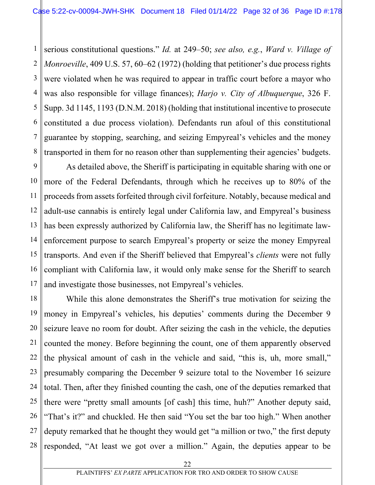1 2 3 4 5 6 7 8 serious constitutional questions." *Id.* at 249–50; *see also, e.g.*, *Ward v. Village of Monroeville*, 409 U.S. 57, 60–62 (1972) (holding that petitioner's due process rights were violated when he was required to appear in traffic court before a mayor who was also responsible for village finances); *Harjo v. City of Albuquerque*, 326 F. Supp. 3d 1145, 1193 (D.N.M. 2018) (holding that institutional incentive to prosecute constituted a due process violation). Defendants run afoul of this constitutional guarantee by stopping, searching, and seizing Empyreal's vehicles and the money transported in them for no reason other than supplementing their agencies' budgets.

9 10 11 12 13 14 15 16 17 As detailed above, the Sheriff is participating in equitable sharing with one or more of the Federal Defendants, through which he receives up to 80% of the proceeds from assets forfeited through civil forfeiture. Notably, because medical and adult-use cannabis is entirely legal under California law, and Empyreal's business has been expressly authorized by California law, the Sheriff has no legitimate lawenforcement purpose to search Empyreal's property or seize the money Empyreal transports. And even if the Sheriff believed that Empyreal's *clients* were not fully compliant with California law, it would only make sense for the Sheriff to search and investigate those businesses, not Empyreal's vehicles.

18 19 20 21 22 23 24 25 26 27 28 While this alone demonstrates the Sheriff's true motivation for seizing the money in Empyreal's vehicles, his deputies' comments during the December 9 seizure leave no room for doubt. After seizing the cash in the vehicle, the deputies counted the money. Before beginning the count, one of them apparently observed the physical amount of cash in the vehicle and said, "this is, uh, more small," presumably comparing the December 9 seizure total to the November 16 seizure total. Then, after they finished counting the cash, one of the deputies remarked that there were "pretty small amounts [of cash] this time, huh?" Another deputy said, "That's it?" and chuckled. He then said "You set the bar too high." When another deputy remarked that he thought they would get "a million or two," the first deputy responded, "At least we got over a million." Again, the deputies appear to be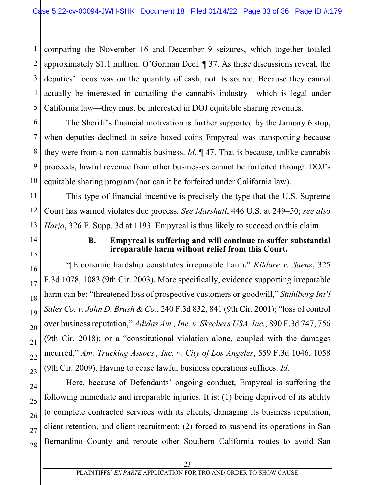1 2 3 4 5 comparing the November 16 and December 9 seizures, which together totaled approximately \$1.1 million. O'Gorman Decl. ¶ 37. As these discussions reveal, the deputies' focus was on the quantity of cash, not its source. Because they cannot actually be interested in curtailing the cannabis industry—which is legal under California law—they must be interested in DOJ equitable sharing revenues.

6 7 8 9 10 The Sheriff's financial motivation is further supported by the January 6 stop, when deputies declined to seize boxed coins Empyreal was transporting because they were from a non-cannabis business. *Id.* ¶ 47. That is because, unlike cannabis proceeds, lawful revenue from other businesses cannot be forfeited through DOJ's equitable sharing program (nor can it be forfeited under California law).

11 12 13 This type of financial incentive is precisely the type that the U.S. Supreme Court has warned violates due process. *See Marshall*, 446 U.S. at 249–50; *see also Harjo*, 326 F. Supp. 3d at 1193. Empyreal is thus likely to succeed on this claim.

14

15

16

17

18

19

20

21

22

23

24

25

26

27

28

### **B. Empyreal is suffering and will continue to suffer substantial irreparable harm without relief from this Court.**

"[E]conomic hardship constitutes irreparable harm." *Kildare v. Saenz*, 325 F.3d 1078, 1083 (9th Cir. 2003). More specifically, evidence supporting irreparable harm can be: "threatened loss of prospective customers or goodwill," *Stuhlbarg Int'l Sales Co. v. John D. Brush & Co.*, 240 F.3d 832, 841 (9th Cir. 2001); "loss of control over business reputation," *Adidas Am., Inc. v. Skechers USA, Inc.*, 890 F.3d 747, 756 (9th Cir. 2018); or a "constitutional violation alone, coupled with the damages incurred," *Am. Trucking Assocs., Inc. v. City of Los Angeles*, 559 F.3d 1046, 1058 (9th Cir. 2009). Having to cease lawful business operations suffices. *Id.*

Here, because of Defendants' ongoing conduct, Empyreal is suffering the following immediate and irreparable injuries. It is: (1) being deprived of its ability to complete contracted services with its clients, damaging its business reputation, client retention, and client recruitment; (2) forced to suspend its operations in San Bernardino County and reroute other Southern California routes to avoid San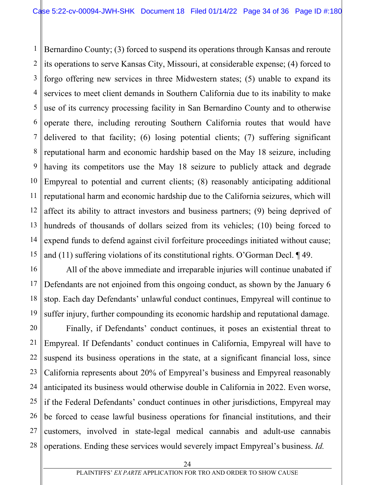1 2 3 4 5 6 7 8 9 10 11 12 13 14 15 Bernardino County; (3) forced to suspend its operations through Kansas and reroute its operations to serve Kansas City, Missouri, at considerable expense; (4) forced to forgo offering new services in three Midwestern states; (5) unable to expand its services to meet client demands in Southern California due to its inability to make use of its currency processing facility in San Bernardino County and to otherwise operate there, including rerouting Southern California routes that would have delivered to that facility; (6) losing potential clients; (7) suffering significant reputational harm and economic hardship based on the May 18 seizure, including having its competitors use the May 18 seizure to publicly attack and degrade Empyreal to potential and current clients; (8) reasonably anticipating additional reputational harm and economic hardship due to the California seizures, which will affect its ability to attract investors and business partners; (9) being deprived of hundreds of thousands of dollars seized from its vehicles; (10) being forced to expend funds to defend against civil forfeiture proceedings initiated without cause; and (11) suffering violations of its constitutional rights. O'Gorman Decl. ¶ 49.

16 17 18 19 All of the above immediate and irreparable injuries will continue unabated if Defendants are not enjoined from this ongoing conduct, as shown by the January 6 stop. Each day Defendants' unlawful conduct continues, Empyreal will continue to suffer injury, further compounding its economic hardship and reputational damage.

20 21 22 23 24 25 26 27 28 Finally, if Defendants' conduct continues, it poses an existential threat to Empyreal. If Defendants' conduct continues in California, Empyreal will have to suspend its business operations in the state, at a significant financial loss, since California represents about 20% of Empyreal's business and Empyreal reasonably anticipated its business would otherwise double in California in 2022. Even worse, if the Federal Defendants' conduct continues in other jurisdictions, Empyreal may be forced to cease lawful business operations for financial institutions, and their customers, involved in state-legal medical cannabis and adult-use cannabis operations. Ending these services would severely impact Empyreal's business. *Id.*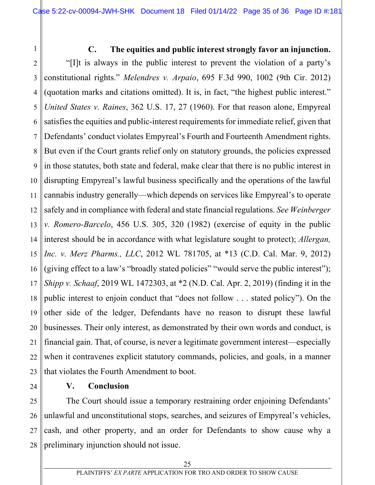#### **C. The equities and public interest strongly favor an injunction.**

2 3 4 5 6 7 8 9 10 11 12 13 14 15 16 17 18 19 20 21 22 23 "[I]t is always in the public interest to prevent the violation of a party's constitutional rights." *Melendres v. Arpaio*, 695 F.3d 990, 1002 (9th Cir. 2012) (quotation marks and citations omitted). It is, in fact, "the highest public interest." *United States v. Raines*, 362 U.S. 17, 27 (1960). For that reason alone, Empyreal satisfies the equities and public-interest requirements for immediate relief, given that Defendants' conduct violates Empyreal's Fourth and Fourteenth Amendment rights. But even if the Court grants relief only on statutory grounds, the policies expressed in those statutes, both state and federal, make clear that there is no public interest in disrupting Empyreal's lawful business specifically and the operations of the lawful cannabis industry generally—which depends on services like Empyreal's to operate safely and in compliance with federal and state financial regulations. *See Weinberger v. Romero-Barcelo*, 456 U.S. 305, 320 (1982) (exercise of equity in the public interest should be in accordance with what legislature sought to protect); *Allergan, Inc. v. Merz Pharms., LLC*, 2012 WL 781705, at \*13 (C.D. Cal. Mar. 9, 2012) (giving effect to a law's "broadly stated policies" "would serve the public interest"); *Shipp v. Schaaf*, 2019 WL 1472303, at \*2 (N.D. Cal. Apr. 2, 2019) (finding it in the public interest to enjoin conduct that "does not follow . . . stated policy"). On the other side of the ledger, Defendants have no reason to disrupt these lawful businesses. Their only interest, as demonstrated by their own words and conduct, is financial gain. That, of course, is never a legitimate government interest—especially when it contravenes explicit statutory commands, policies, and goals, in a manner that violates the Fourth Amendment to boot.

24

1

#### **V. Conclusion**

25 26 27 28 The Court should issue a temporary restraining order enjoining Defendants' unlawful and unconstitutional stops, searches, and seizures of Empyreal's vehicles, cash, and other property, and an order for Defendants to show cause why a preliminary injunction should not issue.